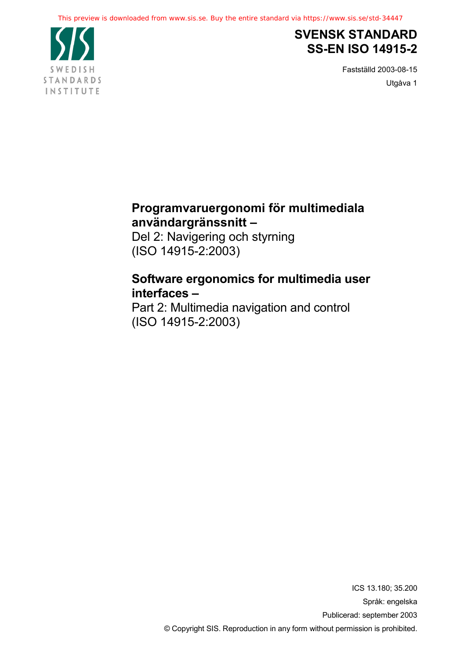

# **SVENSK STANDARD SS-EN ISO 14915-2**

Fastställd 2003-08-15 Utgåva 1

# **Programvaruergonomi för multimediala användargränssnitt –**

Del 2: Navigering och styrning (ISO 14915-2:2003)

# **Software ergonomics for multimedia user interfaces –**

Part 2: Multimedia navigation and control (ISO 14915-2:2003)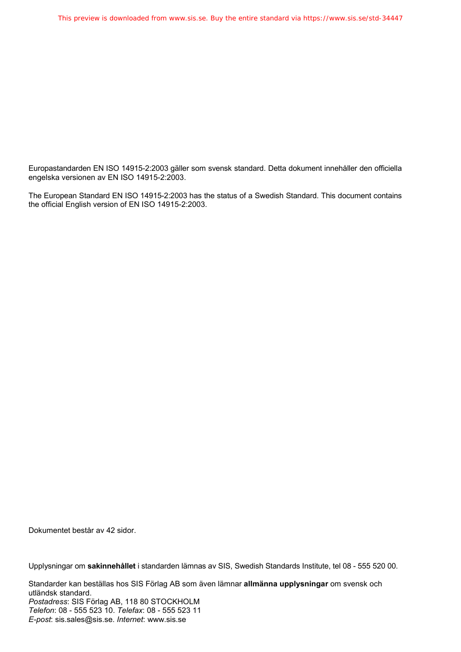Europastandarden EN ISO 14915-2:2003 gäller som svensk standard. Detta dokument innehåller den officiella engelska versionen av EN ISO 14915-2:2003.

The European Standard EN ISO 14915-2:2003 has the status of a Swedish Standard. This document contains the official English version of EN ISO 14915-2:2003.

Dokumentet består av 42 sidor.

Upplysningar om **sakinnehållet** i standarden lämnas av SIS, Swedish Standards Institute, tel 08 - 555 520 00.

Standarder kan beställas hos SIS Förlag AB som även lämnar **allmänna upplysningar** om svensk och utländsk standard. *Postadress*: SIS Förlag AB, 118 80 STOCKHOLM *Telefon*: 08 - 555 523 10. *Telefax*: 08 - 555 523 11 *E-post*: sis.sales@sis.se. *Internet*: www.sis.se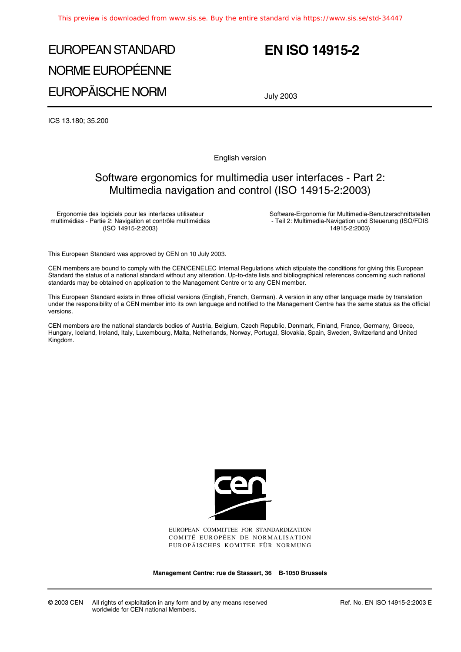# EUROPEAN STANDARD NORME EUROPÉENNE EUROPÄISCHE NORM

# **EN ISO 14915-2**

July 2003

ICS 13.180; 35.200

English version

### Software ergonomics for multimedia user interfaces - Part 2: Multimedia navigation and control (ISO 14915-2:2003)

Ergonomie des logiciels pour les interfaces utilisateur multimédias - Partie 2: Navigation et contrôle multimédias (ISO 14915-2:2003)

Software-Ergonomie für Multimedia-Benutzerschnittstellen - Teil 2: Multimedia-Navigation und Steuerung (ISO/FDIS 14915-2:2003)

This European Standard was approved by CEN on 10 July 2003.

CEN members are bound to comply with the CEN/CENELEC Internal Regulations which stipulate the conditions for giving this European Standard the status of a national standard without any alteration. Up-to-date lists and bibliographical references concerning such national standards may be obtained on application to the Management Centre or to any CEN member.

This European Standard exists in three official versions (English, French, German). A version in any other language made by translation under the responsibility of a CEN member into its own language and notified to the Management Centre has the same status as the official versions.

CEN members are the national standards bodies of Austria, Belgium, Czech Republic, Denmark, Finland, France, Germany, Greece, Hungary, Iceland, Ireland, Italy, Luxembourg, Malta, Netherlands, Norway, Portugal, Slovakia, Spain, Sweden, Switzerland and United Kingdom.



EUROPEAN COMMITTEE FOR STANDARDIZATION COMITÉ EUROPÉEN DE NORMALISATION EUROPÄISCHES KOMITEE FÜR NORMUNG

**Management Centre: rue de Stassart, 36 B-1050 Brussels**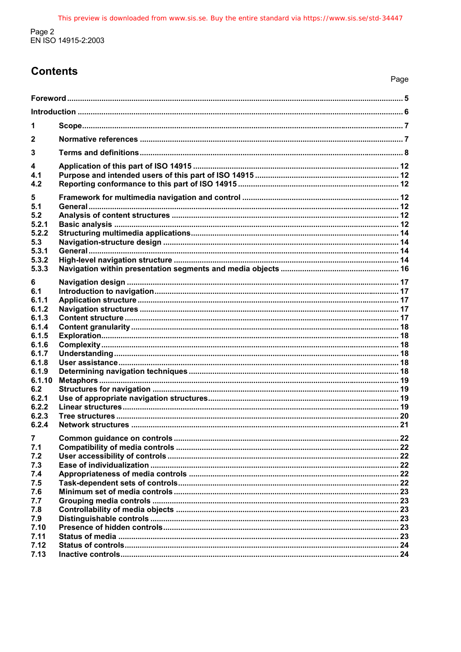# **Contents**

|  | Page |  |
|--|------|--|
|  | 5    |  |

| 1              |  |
|----------------|--|
| 2              |  |
| 3              |  |
| 4              |  |
| 4.1            |  |
| 4.2            |  |
| 5<br>5.1       |  |
| 5.2            |  |
| 5.2.1          |  |
| 5.2.2          |  |
| 5.3            |  |
| 5.3.1          |  |
| 5.3.2          |  |
| 5.3.3          |  |
| 6              |  |
| 6.1            |  |
| 6.1.1          |  |
| 6.1.2          |  |
| 6.1.3          |  |
| 6.1.4<br>6.1.5 |  |
| 6.1.6          |  |
| 6.1.7          |  |
| 6.1.8          |  |
| 6.1.9          |  |
| 6.1.10         |  |
| 6.2            |  |
| 6.2.1          |  |
| 6.2.2          |  |
| 6.2.3          |  |
| 6.2.4          |  |
| 7              |  |
| 7.1            |  |
| 7.2            |  |
| 7.3            |  |
| 7.4            |  |
| 7.5            |  |
| 7.6<br>7.7     |  |
| 7.8            |  |
| 7.9            |  |
| 7.10           |  |
| 7.11           |  |
| 7.12           |  |
| 7.13           |  |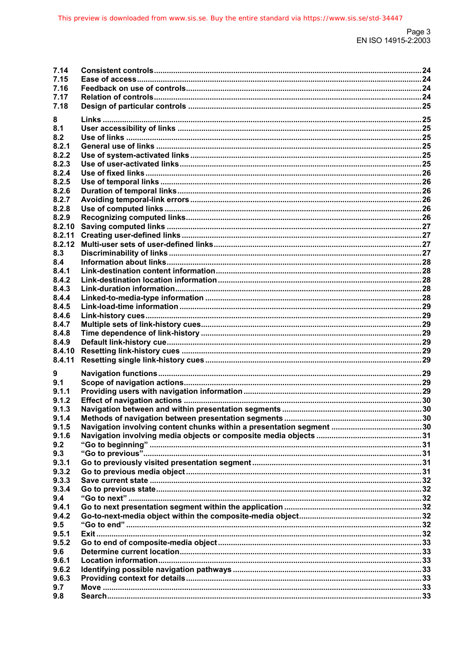| 7.14   |  |
|--------|--|
| 7.15   |  |
| 7.16   |  |
| 7.17   |  |
|        |  |
| 7.18   |  |
| 8      |  |
|        |  |
| 8.1    |  |
| 8.2    |  |
| 8.2.1  |  |
| 8.2.2  |  |
| 8.2.3  |  |
|        |  |
| 8.2.4  |  |
| 8.2.5  |  |
| 8.2.6  |  |
| 8.2.7  |  |
| 8.2.8  |  |
|        |  |
| 8.2.9  |  |
| 8.2.10 |  |
| 8.2.11 |  |
| 8.2.12 |  |
| 8.3    |  |
|        |  |
| 8.4    |  |
| 8.4.1  |  |
| 8.4.2  |  |
| 8.4.3  |  |
| 8.4.4  |  |
|        |  |
| 8.4.5  |  |
| 8.4.6  |  |
| 8.4.7  |  |
| 8.4.8  |  |
| 8.4.9  |  |
|        |  |
| 8.4.10 |  |
| 8.4.11 |  |
|        |  |
| 9      |  |
| 9.1    |  |
| 9.1.1  |  |
| 9.1.2  |  |
| 9.1.3  |  |
|        |  |
| 9.1.4  |  |
| 9.1.5  |  |
| 9.1.6  |  |
| 9.2    |  |
| 9.3    |  |
|        |  |
| 9.3.1  |  |
| 9.3.2  |  |
| 9.3.3  |  |
| 9.3.4  |  |
| 9.4    |  |
| 9.4.1  |  |
|        |  |
| 9.4.2  |  |
| 9.5    |  |
| 9.5.1  |  |
| 9.5.2  |  |
|        |  |
| 9.6    |  |
| 9.6.1  |  |
| 9.6.2  |  |
| 9.6.3  |  |
| 9.7    |  |
| 9.8    |  |
|        |  |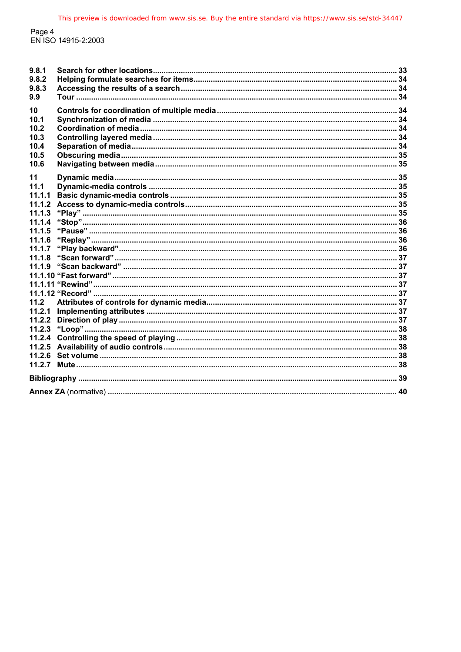Page 4<br>EN ISO 14915-2:2003

| 9.8.1<br>9.8.2<br>9.8.3<br>9.9                     |  |
|----------------------------------------------------|--|
| 10<br>10.1<br>10.2<br>10.3<br>10.4<br>10.5<br>10.6 |  |
| 11<br>11.1                                         |  |
| 11.1.1                                             |  |
| 11.1.2                                             |  |
| 11.1.3                                             |  |
| 11.1.4                                             |  |
| 11.1.5                                             |  |
| 11.1.6                                             |  |
| 11.1.7                                             |  |
| 11.1.8                                             |  |
| 11.1.9                                             |  |
|                                                    |  |
|                                                    |  |
|                                                    |  |
| 11.2                                               |  |
| 11.2.1                                             |  |
| 11.2.2                                             |  |
| 11.2.3                                             |  |
| 11.2.4                                             |  |
|                                                    |  |
|                                                    |  |
|                                                    |  |
|                                                    |  |
|                                                    |  |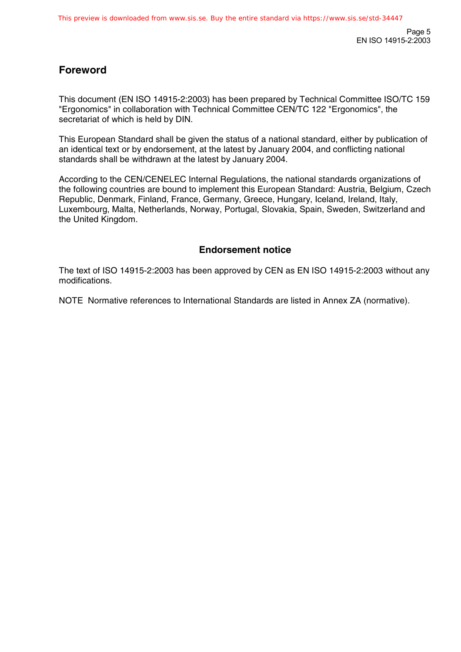## **Foreword**

This document (EN ISO 14915-2:2003) has been prepared by Technical Committee ISO/TC 159 "Ergonomics" in collaboration with Technical Committee CEN/TC 122 "Ergonomics", the secretariat of which is held by DIN.

This European Standard shall be given the status of a national standard, either by publication of an identical text or by endorsement, at the latest by January 2004, and conflicting national standards shall be withdrawn at the latest by January 2004.

According to the CEN/CENELEC Internal Regulations, the national standards organizations of the following countries are bound to implement this European Standard: Austria, Belgium, Czech Republic, Denmark, Finland, France, Germany, Greece, Hungary, Iceland, Ireland, Italy, Luxembourg, Malta, Netherlands, Norway, Portugal, Slovakia, Spain, Sweden, Switzerland and the United Kingdom.

### **Endorsement notice**

The text of ISO 14915-2:2003 has been approved by CEN as EN ISO 14915-2:2003 without any modifications.

NOTE Normative references to International Standards are listed in Annex ZA (normative).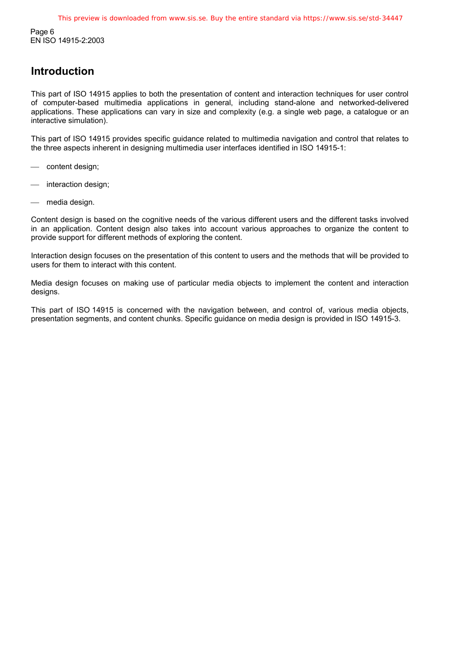Page 6 EN ISO 14915-2:2003

## **Introduction**

This part of ISO 14915 applies to both the presentation of content and interaction techniques for user control of computer-based multimedia applications in general, including stand-alone and networked-delivered applications. These applications can vary in size and complexity (e.g. a single web page, a catalogue or an interactive simulation).

This part of ISO 14915 provides specific guidance related to multimedia navigation and control that relates to the three aspects inherent in designing multimedia user interfaces identified in ISO 14915-1:

- content design;
- interaction design:
- media design.

Content design is based on the cognitive needs of the various different users and the different tasks involved in an application. Content design also takes into account various approaches to organize the content to provide support for different methods of exploring the content.

Interaction design focuses on the presentation of this content to users and the methods that will be provided to users for them to interact with this content.

Media design focuses on making use of particular media objects to implement the content and interaction designs.

This part of ISO 14915 is concerned with the navigation between, and control of, various media objects, presentation segments, and content chunks. Specific guidance on media design is provided in ISO 14915-3.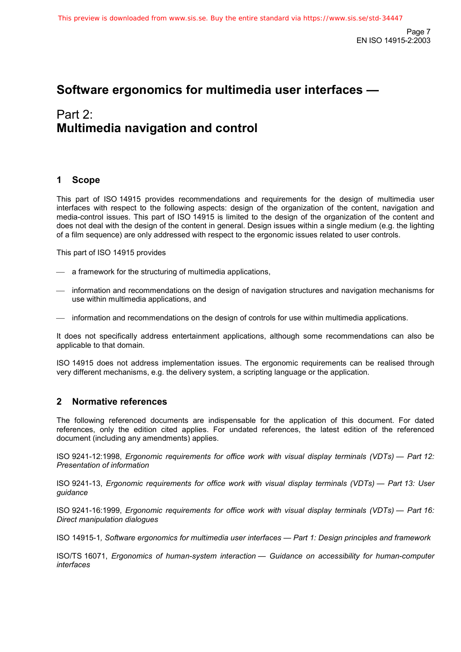# **Software ergonomics for multimedia user interfaces —**

# Part 2: **Multimedia navigation and control**

### **1 Scope**

This part of ISO 14915 provides recommendations and requirements for the design of multimedia user interfaces with respect to the following aspects: design of the organization of the content, navigation and media-control issues. This part of ISO 14915 is limited to the design of the organization of the content and does not deal with the design of the content in general. Design issues within a single medium (e.g. the lighting of a film sequence) are only addressed with respect to the ergonomic issues related to user controls.

This part of ISO 14915 provides

- $\equiv$  a framework for the structuring of multimedia applications,
- information and recommendations on the design of navigation structures and navigation mechanisms for use within multimedia applications, and
- information and recommendations on the design of controls for use within multimedia applications.

It does not specifically address entertainment applications, although some recommendations can also be applicable to that domain.

ISO 14915 does not address implementation issues. The ergonomic requirements can be realised through very different mechanisms, e.g. the delivery system, a scripting language or the application.

### **2 Normative references**

The following referenced documents are indispensable for the application of this document. For dated references, only the edition cited applies. For undated references, the latest edition of the referenced document (including any amendments) applies.

ISO 9241-12:1998, *Ergonomic requirements for office work with visual display terminals (VDTs) — Part 12: Presentation of information*

ISO 9241-13, *Ergonomic requirements for office work with visual display terminals (VDTs) — Part 13: User guidance*

ISO 9241-16:1999, *Ergonomic requirements for office work with visual display terminals (VDTs) — Part 16: Direct manipulation dialogues*

ISO 14915-1*, Software ergonomics for multimedia user interfaces — Part 1: Design principles and framework*

ISO/TS 16071, *Ergonomics of human-system interaction — Guidance on accessibility for human-computer interfaces*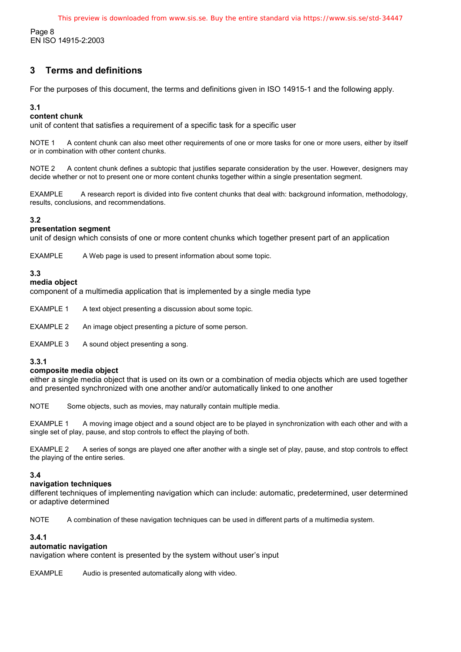Page 8 EN ISO 14915-2:2003

### **3 Terms and definitions**

For the purposes of this document, the terms and definitions given in ISO 14915-1 and the following apply.

#### **3.1**

#### **content chunk**

unit of content that satisfies a requirement of a specific task for a specific user

NOTE 1 A content chunk can also meet other requirements of one or more tasks for one or more users, either by itself or in combination with other content chunks.

NOTE 2 A content chunk defines a subtopic that justifies separate consideration by the user. However, designers may decide whether or not to present one or more content chunks together within a single presentation segment.

EXAMPLE A research report is divided into five content chunks that deal with: background information, methodology, results, conclusions, and recommendations.

#### **3.2**

#### **presentation segment**

unit of design which consists of one or more content chunks which together present part of an application

EXAMPLE A Web page is used to present information about some topic.

#### **3.3**

#### **media object**

component of a multimedia application that is implemented by a single media type

EXAMPLE 1 A text object presenting a discussion about some topic.

EXAMPLE 2 An image object presenting a picture of some person.

EXAMPLE 3 A sound object presenting a song.

#### **3.3.1**

#### **composite media object**

either a single media object that is used on its own or a combination of media objects which are used together and presented synchronized with one another and/or automatically linked to one another

NOTE Some objects, such as movies, may naturally contain multiple media.

EXAMPLE 1 A moving image object and a sound object are to be played in synchronization with each other and with a single set of play, pause, and stop controls to effect the playing of both.

EXAMPLE 2 A series of songs are played one after another with a single set of play, pause, and stop controls to effect the playing of the entire series.

#### **3.4**

#### **navigation techniques**

different techniques of implementing navigation which can include: automatic, predetermined, user determined or adaptive determined

NOTE A combination of these navigation techniques can be used in different parts of a multimedia system.

#### **3.4.1**

#### **automatic navigation**

navigation where content is presented by the system without user's input

EXAMPLE Audio is presented automatically along with video.